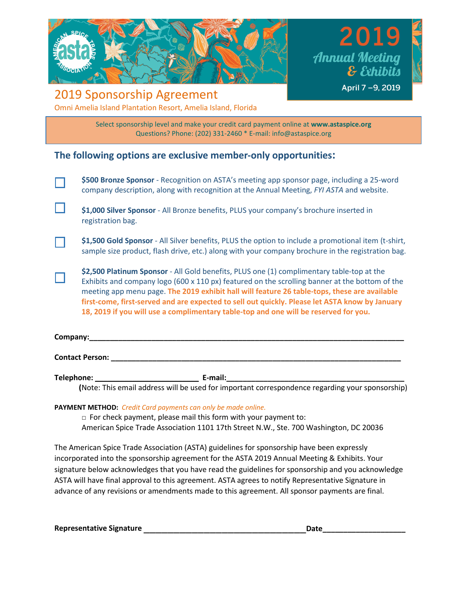

201 **Annual Meeting** & Exhibits April 7-9, 2019

## 2019 Sponsorship Agreement Omni Amelia Island Plantation Resort, Amelia Island, Florida

Select sponsorship level and make your credit card payment online at **[www.astaspice.org](http://www.astaspice.org/)** Questions? Phone: (202) 331-2460 \* E-mail: [info@astaspice.org](mailto:info@astaspice.org)

### **The following options are exclusive member-only opportunities:**

| \$500 Bronze Sponsor - Recognition on ASTA's meeting app sponsor page, including a 25-word |
|--------------------------------------------------------------------------------------------|
| company description, along with recognition at the Annual Meeting, FYI ASTA and website.   |

- **\$1,000 Silver Sponsor**  All Bronze benefits, PLUS your company's brochure inserted in registration bag.
- **\$1,500 Gold Sponsor**  All Silver benefits, PLUS the option to include a promotional item (t-shirt, sample size product, flash drive, etc.) along with your company brochure in the registration bag.
- **\$2,500 Platinum Sponsor**  All Gold benefits, PLUS one (1) complimentary table-top at the Exhibits and company logo (600 x 110 px) featured on the scrolling banner at the bottom of the meeting app menu page. **The 2019 exhibit hall will feature 26 table-tops, these are available first-come, first-served and are expected to sell out quickly. Please let ASTA know by January 18, 2019 if you will use a complimentary table-top and one will be reserved for you.**

| Company: |  |
|----------|--|
|          |  |
|          |  |

**Contact Person: \_\_\_\_\_\_\_\_\_\_\_\_\_\_\_\_\_\_\_\_\_\_\_\_\_\_\_\_\_\_\_\_\_\_\_\_\_\_\_\_\_\_\_\_\_\_\_\_\_\_\_\_\_\_\_\_\_\_\_\_\_\_\_\_\_\_\_\_\_\_**

**Telephone: \_\_\_\_\_\_\_\_\_\_\_\_\_\_\_\_\_\_\_\_\_\_\_\_\_ E-mail:\_\_\_\_\_\_\_\_\_\_\_\_\_\_\_\_\_\_\_\_\_\_\_\_\_\_\_\_\_\_\_\_\_\_\_\_\_\_\_\_\_\_\_**

 **(**Note: This email address will be used for important correspondence regarding your sponsorship)

### **PAYMENT METHOD:** *Credit Card payments can only be made online.*

 $\Box$  For check payment, please mail this form with your payment to: American Spice Trade Association 1101 17th Street N.W., Ste. 700 Washington, DC 20036

The American Spice Trade Association (ASTA) guidelines for sponsorship have been expressly incorporated into the sponsorship agreement for the ASTA 2019 Annual Meeting & Exhibits. Your signature below acknowledges that you have read the guidelines for sponsorship and you acknowledge ASTA will have final approval to this agreement. ASTA agrees to notify Representative Signature in advance of any revisions or amendments made to this agreement. All sponsor payments are final.

**Representative Signature** \_\_\_\_\_\_\_\_\_\_\_\_\_\_\_\_\_\_\_\_\_\_\_\_\_\_\_**Date\_\_\_\_\_\_\_\_\_\_\_\_\_\_\_\_\_\_\_\_**